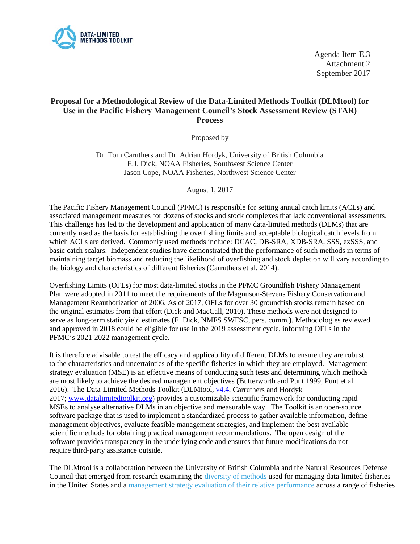

Agenda Item E.3 Attachment 2 September 2017

## **Proposal for a Methodological Review of the Data-Limited Methods Toolkit (DLMtool) for Use in the Pacific Fishery Management Council's Stock Assessment Review (STAR) Process**

Proposed by

Dr. Tom Caruthers and Dr. Adrian Hordyk, University of British Columbia E.J. Dick, NOAA Fisheries, Southwest Science Center Jason Cope, NOAA Fisheries, Northwest Science Center

August 1, 2017

The Pacific Fishery Management Council (PFMC) is responsible for setting annual catch limits (ACLs) and associated management measures for dozens of stocks and stock complexes that lack conventional assessments. This challenge has led to the development and application of many data-limited methods (DLMs) that are currently used as the basis for establishing the overfishing limits and acceptable biological catch levels from which ACLs are derived. Commonly used methods include: DCAC, DB-SRA, XDB-SRA, SSS, exSSS, and basic catch scalars. Independent studies have demonstrated that the performance of such methods in terms of maintaining target biomass and reducing the likelihood of overfishing and stock depletion will vary according to the biology and characteristics of different fisheries (Carruthers et al. 2014).

Overfishing Limits (OFLs) for most data-limited stocks in the PFMC Groundfish Fishery Management Plan were adopted in 2011 to meet the requirements of the Magnuson-Stevens Fishery Conservation and Management Reauthorization of 2006. As of 2017, OFLs for over 30 groundfish stocks remain based on the original estimates from that effort (Dick and MacCall, 2010). These methods were not designed to serve as long-term static yield estimates (E. Dick, NMFS SWFSC, pers. comm.). Methodologies reviewed and approved in 2018 could be eligible for use in the 2019 assessment cycle, informing OFLs in the PFMC's 2021-2022 management cycle.

It is therefore advisable to test the efficacy and applicability of different DLMs to ensure they are robust to the characteristics and uncertainties of the specific fisheries in which they are employed. Management strategy evaluation (MSE) is an effective means of conducting such tests and determining which methods are most likely to achieve the desired management objectives (Butterworth and Punt 1999, Punt et al. 2016). The Data-Limited Methods Toolkit (DLMtool, [v4.4,](https://cran.r-project.org/web/packages/DLMtool/index.html) Carruthers and Hordyk 2017; [www.datalimitedtoolkit.org\)](http://www.datalimitedtoolkit.org/) provides a customizable scientific framework for conducting rapid MSEs to analyse alternative DLMs in an objective and measurable way. The Toolkit is an open-source software package that is used to implement a standardized process to gather available information, define management objectives, evaluate feasible management strategies, and implement the best available scientific methods for obtaining practical management recommendations. The open design of the software provides transparency in the underlying code and ensures that future modifications do not require third-party assistance outside.

The DLMtool is a collaboration between the University of British Columbia and the Natural Resources Defense Council that emerged from research examining the [diversity of methods](http://www.sciencedirect.com/science/article/pii/S0165783614003117) used for managing data-limited fisheries in the United States and a [management strategy evaluation of their relative performance](http://www.sciencedirect.com/science/article/pii/S0165783613003081) across a range of fisheries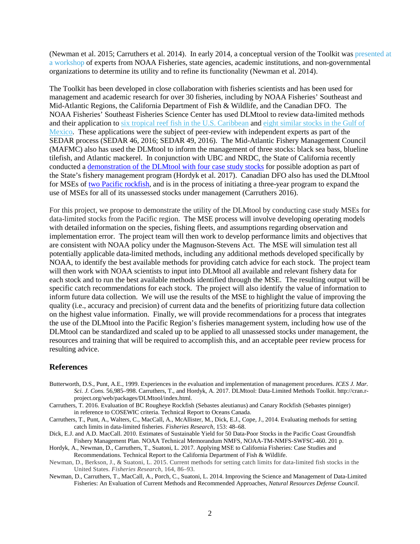(Newman et al. 2015; Carruthers et al. 2014). In early 2014, a conceptual version of the Toolkit wa[s presented at](https://www.nrdc.org/sites/default/files/improving-data-limited-fisheries-report.pdf)  [a workshop](https://www.nrdc.org/sites/default/files/improving-data-limited-fisheries-report.pdf) of experts from NOAA Fisheries, state agencies, academic institutions, and non-governmental organizations to determine its utility and to refine its functionality (Newman et al. 2014).

The Toolkit has been developed in close collaboration with fisheries scientists and has been used for management and academic research for over 30 fisheries, including by NOAA Fisheries' Southeast and Mid-Atlantic Regions, the California Department of Fish & Wildlife, and the Canadian DFO. The NOAA Fisheries' Southeast Fisheries Science Center has used DLMtool to review data-limited methods and their application to six tropical reef fish in the U.S. [Caribbean](http://sedarweb.org/sedar-46) and eight [similar](http://sedarweb.org/sedar-49) stocks in the Gulf of [Mexico.](http://sedarweb.org/sedar-49) These applications were the subject of peer-review with independent experts as part of the SEDAR process (SEDAR 46, 2016; SEDAR 49, 2016). The Mid-Atlantic Fishery Management Council (MAFMC) also has used the DLMtool to inform the management of three stocks: black sea bass, blueline tilefish, and Atlantic mackerel. In conjunction with UBC and NRDC, the State of California recently conducted a [demonstration of the DLMtool with four case study stocks](http://www.datalimitedtoolkit.org/wp-content/uploads/2017/07/Applying-MSE-to-CA-Fisheries-Case-Studies-Recommendations.pdf) for possible adoption as part of the State's fishery management program (Hordyk et al. 2017). Canadian DFO also has used the DLMtool for MSEs of [two Pacific rockfish,](http://www.datalimitedtoolkit.org/wp-content/uploads/2017/06/COSEWIC_Evaluation_Canary_and_Rougheye_Rockfish_Carruthers.pdf) and is in the process of initiating a three-year program to expand the use of MSEs for all of its unassessed stocks under management (Carruthers 2016).

For this project, we propose to demonstrate the utility of the DLMtool by conducting case study MSEs for data-limited stocks from the Pacific region. The MSE process will involve developing operating models with detailed information on the species, fishing fleets, and assumptions regarding observation and implementation error. The project team will then work to develop performance limits and objectives that are consistent with NOAA policy under the Magnuson-Stevens Act. The MSE will simulation test all potentially applicable data-limited methods, including any additional methods developed specifically by NOAA, to identify the best available methods for providing catch advice for each stock. The project team will then work with NOAA scientists to input into DLMtool all available and relevant fishery data for each stock and to run the best available methods identified through the MSE. The resulting output will be specific catch recommendations for each stock. The project will also identify the value of information to inform future data collection. We will use the results of the MSE to highlight the value of improving the quality (i.e., accuracy and precision) of current data and the benefits of prioritizing future data collection on the highest value information. Finally, we will provide recommendations for a process that integrates the use of the DLMtool into the Pacific Region's fisheries management system, including how use of the DLMtool can be standardized and scaled up to be applied to all unassessed stocks under management, the resources and training that will be required to accomplish this, and an acceptable peer review process for resulting advice.

## **References**

- Butterworth, D.S., Punt, A.E., 1999. Experiences in the evaluation and implementation of management procedures. *ICES J. Mar. Sci. J. Cons.* 56,985–998. Carruthers, T., and Hordyk, A. 2017. DLMtool: Data-Limited Methods Toolkit. http://cran.rproject.org/web/packages/DLMtool/index.html.
- Carruthers, T. 2016. Evaluation of BC Rougheye Rockfish (Sebastes aleutianus) and Canary Rockfish (Sebastes pinniger) in reference to COSEWIC criteria. Technical Report to Oceans Canada.
- Carruthers, T., Punt, A., Walters, C., MacCall, A., McAllister, M., Dick, E.J., Cope, J., 2014. Evaluating methods for setting catch limits in data-limited fisheries. *Fisheries Research*, 153: 48–68.
- Dick, E.J. and A.D. MacCall. 2010. Estimates of Sustainable Yield for 50 Data-Poor Stocks in the Pacific Coast Groundfish Fishery Management Plan. NOAA Technical Memorandum NMFS, NOAA-TM-NMFS-SWFSC-460. 201 p.

Hordyk, A., Newman, D., Carruthers, T., Suatoni, L. 2017. Applying MSE to California Fisheries: Case Studies and Recommendations. Technical Report to the California Department of Fish & Wildlife.

- Newman, D., Berkson, J., & Suatoni, L. 2015. Current methods for setting catch limits for data-limited fish stocks in the United States. *Fisheries Research*, 164, 86–93.
- Newman, D., Carruthers, T., MacCall, A., Porch, C., Suatoni, L. 2014. Improving the Science and Management of Data-Limited Fisheries: An Evaluation of Current Methods and Recommended Approaches, *Natural Resources Defense Council*.